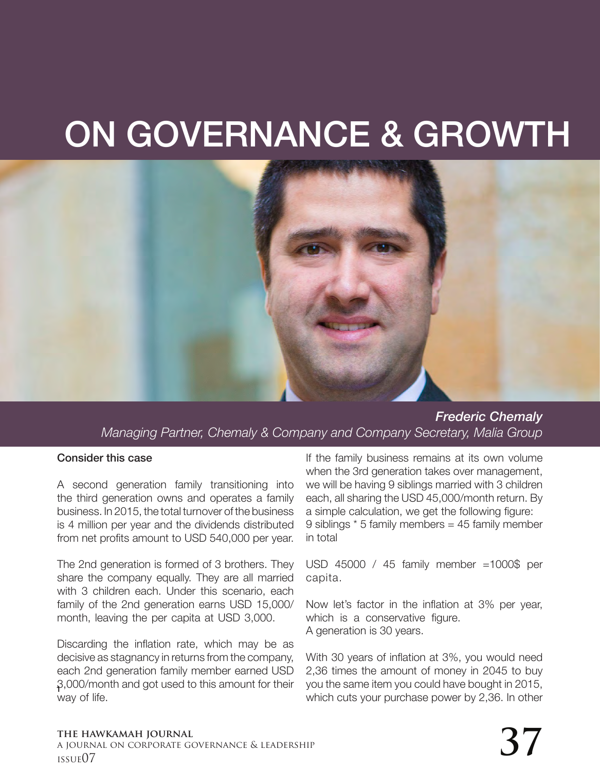# ON GOVERNANCE & GROWTH



*Frederic Chemaly Managing Partner, Chemaly & Company and Company Secretary, Malia Group*

#### Consider this case

A second generation family transitioning into the third generation owns and operates a family business. In 2015, the total turnover of the business is 4 million per year and the dividends distributed from net profits amount to USD 540,000 per year.

The 2nd generation is formed of 3 brothers. They share the company equally. They are all married with 3 children each. Under this scenario, each family of the 2nd generation earns USD 15,000/ month, leaving the per capita at USD 3,000.

Discarding the inflation rate, which may be as decisive as stagnancy in returns from the company, each 2nd generation family member earned USD 3,000/month and got used to this amount for their 1 way of life.

If the family business remains at its own volume when the 3rd generation takes over management, we will be having 9 siblings married with 3 children each, all sharing the USD 45,000/month return. By a simple calculation, we get the following figure: 9 siblings \* 5 family members = 45 family member in total

USD 45000 / 45 family member =1000\$ per capita.

Now let's factor in the inflation at 3% per year, which is a conservative figure. A generation is 30 years.

With 30 years of inflation at 3%, you would need 2,36 times the amount of money in 2045 to buy you the same item you could have bought in 2015, which cuts your purchase power by 2,36. In other

#### **the hawkamah journal**

a journal on corporate governance & leadership The hawkamah journal<br>a journal on corporate governance & leadership<br>issue07  $\,$